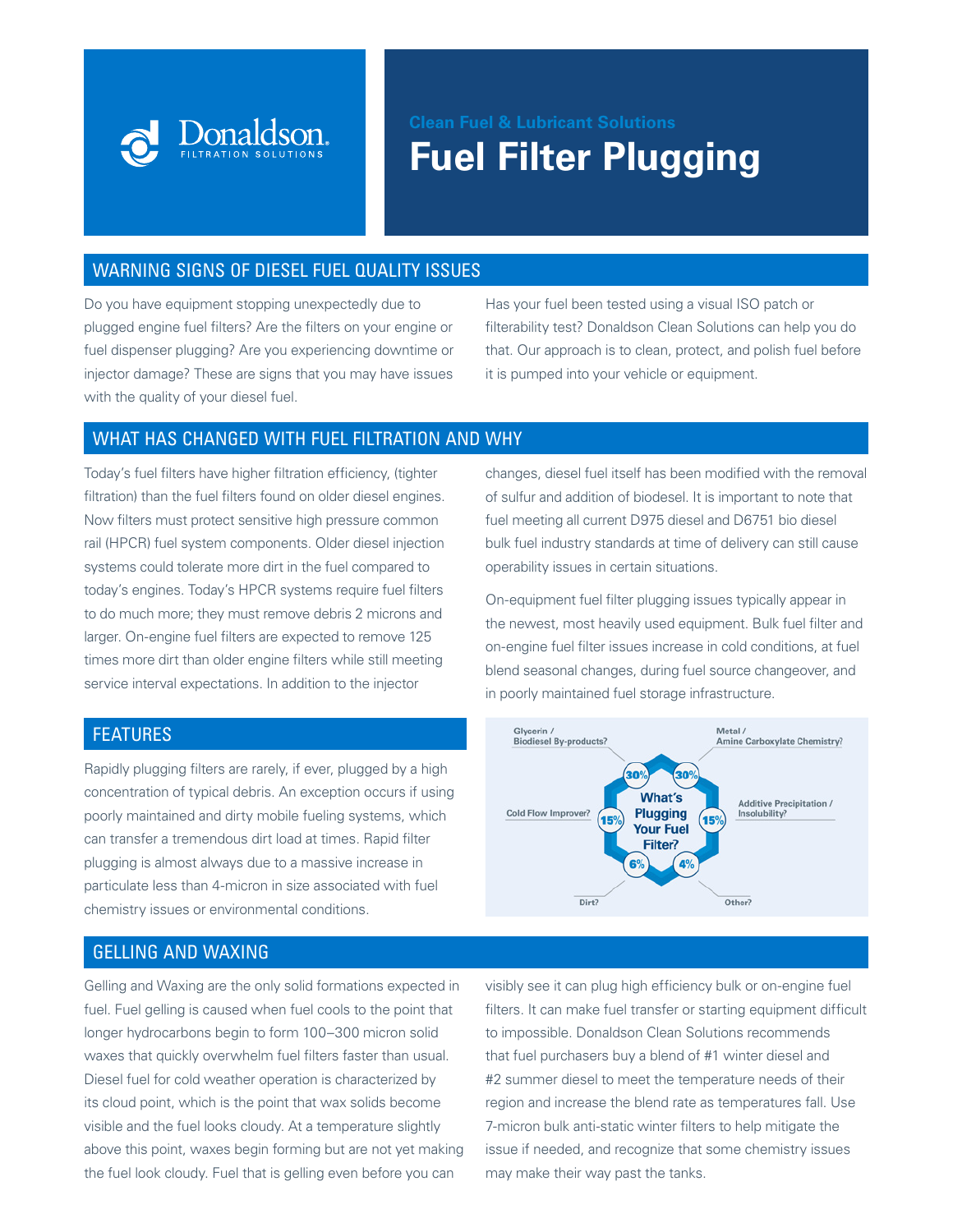

# WARNING SIGNS OF DIESEL FUEL QUALITY ISSUES

Donaldson.

Do you have equipment stopping unexpectedly due to plugged engine fuel filters? Are the filters on your engine or fuel dispenser plugging? Are you experiencing downtime or injector damage? These are signs that you may have issues with the quality of your diesel fuel.

Has your fuel been tested using a visual ISO patch or filterability test? Donaldson Clean Solutions can help you do that. Our approach is to clean, protect, and polish fuel before it is pumped into your vehicle or equipment.

# WHAT HAS CHANGED WITH FUEL FILTRATION AND WHY

Today's fuel filters have higher filtration efficiency, (tighter filtration) than the fuel filters found on older diesel engines. Now filters must protect sensitive high pressure common rail (HPCR) fuel system components. Older diesel injection systems could tolerate more dirt in the fuel compared to today's engines. Today's HPCR systems require fuel filters to do much more; they must remove debris 2 microns and larger. On-engine fuel filters are expected to remove 125 times more dirt than older engine filters while still meeting service interval expectations. In addition to the injector

# FEATURES

Rapidly plugging filters are rarely, if ever, plugged by a high concentration of typical debris. An exception occurs if using poorly maintained and dirty mobile fueling systems, which can transfer a tremendous dirt load at times. Rapid filter plugging is almost always due to a massive increase in particulate less than 4-micron in size associated with fuel chemistry issues or environmental conditions.

# GELLING AND WAXING

Gelling and Waxing are the only solid formations expected in fuel. Fuel gelling is caused when fuel cools to the point that longer hydrocarbons begin to form 100–300 micron solid waxes that quickly overwhelm fuel filters faster than usual. Diesel fuel for cold weather operation is characterized by its cloud point, which is the point that wax solids become visible and the fuel looks cloudy. At a temperature slightly above this point, waxes begin forming but are not yet making the fuel look cloudy. Fuel that is gelling even before you can

changes, diesel fuel itself has been modified with the removal of sulfur and addition of biodesel. It is important to note that fuel meeting all current D975 diesel and D6751 bio diesel bulk fuel industry standards at time of delivery can still cause operability issues in certain situations.

On-equipment fuel filter plugging issues typically appear in the newest, most heavily used equipment. Bulk fuel filter and on-engine fuel filter issues increase in cold conditions, at fuel blend seasonal changes, during fuel source changeover, and in poorly maintained fuel storage infrastructure.



visibly see it can plug high efficiency bulk or on-engine fuel filters. It can make fuel transfer or starting equipment difficult to impossible. Donaldson Clean Solutions recommends that fuel purchasers buy a blend of #1 winter diesel and #2 summer diesel to meet the temperature needs of their region and increase the blend rate as temperatures fall. Use 7-micron bulk anti-static winter filters to help mitigate the issue if needed, and recognize that some chemistry issues may make their way past the tanks.